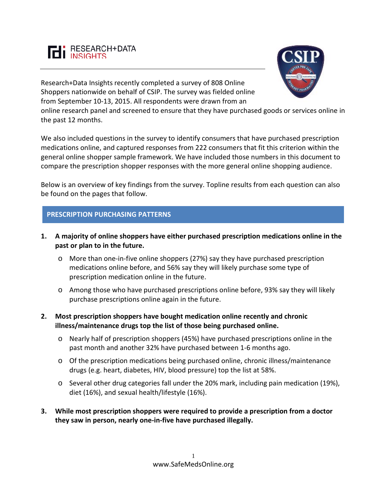

Research+Data Insights recently completed a survey of 808 Online Shoppers nationwide on behalf of CSIP. The survey was fielded online from September 10-13, 2015. All respondents were drawn from an



online research panel and screened to ensure that they have purchased goods or services online in the past 12 months.

We also included questions in the survey to identify consumers that have purchased prescription medications online, and captured responses from 222 consumers that fit this criterion within the general online shopper sample framework. We have included those numbers in this document to compare the prescription shopper responses with the more general online shopping audience.

Below is an overview of key findings from the survey. Topline results from each question can also be found on the pages that follow.

## **PRESCRIPTION PURCHASING PATTERNS**

- **1. A majority of online shoppers have either purchased prescription medications online in the past or plan to in the future.**
	- o More than one-in-five online shoppers (27%) say they have purchased prescription medications online before, and 56% say they will likely purchase some type of prescription medication online in the future.
	- o Among those who have purchased prescriptions online before, 93% say they will likely purchase prescriptions online again in the future.
- **2. Most prescription shoppers have bought medication online recently and chronic illness/maintenance drugs top the list of those being purchased online.**
	- o Nearly half of prescription shoppers (45%) have purchased prescriptions online in the past month and another 32% have purchased between 1-6 months ago.
	- o Of the prescription medications being purchased online, chronic illness/maintenance drugs (e.g. heart, diabetes, HIV, blood pressure) top the list at 58%.
	- o Several other drug categories fall under the 20% mark, including pain medication (19%), diet (16%), and sexual health/lifestyle (16%).
- **3. While most prescription shoppers were required to provide a prescription from a doctor they saw in person, nearly one-in-five have purchased illegally.**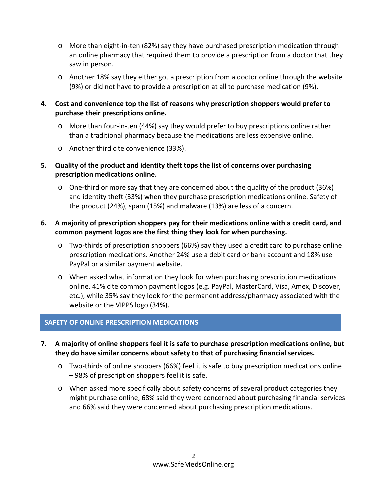- o More than eight-in-ten (82%) say they have purchased prescription medication through an online pharmacy that required them to provide a prescription from a doctor that they saw in person.
- o Another 18% say they either got a prescription from a doctor online through the website (9%) or did not have to provide a prescription at all to purchase medication (9%).
- **4. Cost and convenience top the list of reasons why prescription shoppers would prefer to purchase their prescriptions online.**
	- o More than four-in-ten (44%) say they would prefer to buy prescriptions online rather than a traditional pharmacy because the medications are less expensive online.
	- o Another third cite convenience (33%).
- **5. Quality of the product and identity theft tops the list of concerns over purchasing prescription medications online.** 
	- o One-third or more say that they are concerned about the quality of the product (36%) and identity theft (33%) when they purchase prescription medications online. Safety of the product (24%), spam (15%) and malware (13%) are less of a concern.

# **6. A majority of prescription shoppers pay for their medications online with a credit card, and common payment logos are the first thing they look for when purchasing.**

- o Two-thirds of prescription shoppers (66%) say they used a credit card to purchase online prescription medications. Another 24% use a debit card or bank account and 18% use PayPal or a similar payment website.
- o When asked what information they look for when purchasing prescription medications online, 41% cite common payment logos (e.g. PayPal, MasterCard, Visa, Amex, Discover, etc.), while 35% say they look for the permanent address/pharmacy associated with the website or the VIPPS logo (34%).

# **SAFETY OF ONLINE PRESCRIPTION MEDICATIONS**

- **7. A majority of online shoppers feel it is safe to purchase prescription medications online, but they do have similar concerns about safety to that of purchasing financial services.**
	- o Two-thirds of online shoppers (66%) feel it is safe to buy prescription medications online – 98% of prescription shoppers feel it is safe.
	- o When asked more specifically about safety concerns of several product categories they might purchase online, 68% said they were concerned about purchasing financial services and 66% said they were concerned about purchasing prescription medications.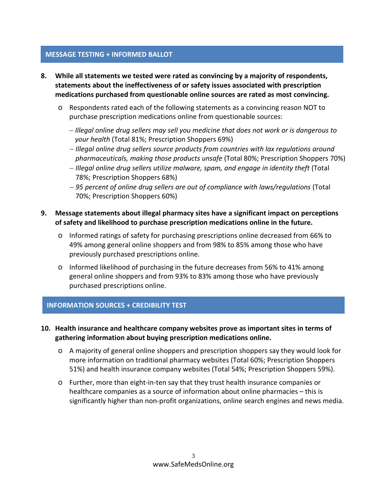## **MESSAGE TESTING + INFORMED BALLOT**

- **8. While all statements we tested were rated as convincing by a majority of respondents, statements about the ineffectiveness of or safety issues associated with prescription medications purchased from questionable online sources are rated as most convincing.** 
	- o Respondents rated each of the following statements as a convincing reason NOT to purchase prescription medications online from questionable sources:
		- − *Illegal online drug sellers may sell you medicine that does not work or is dangerous to your health* (Total 81%; Prescription Shoppers 69%)
		- − *Illegal online drug sellers source products from countries with lax regulations around pharmaceuticals, making those products unsafe* (Total 80%; Prescription Shoppers 70%)
		- − *Illegal online drug sellers utilize malware, spam, and engage in identity theft* (Total 78%; Prescription Shoppers 68%)
		- − *95 percent of online drug sellers are out of compliance with laws/regulations* (Total 70%; Prescription Shoppers 60%)

## **9. Message statements about illegal pharmacy sites have a significant impact on perceptions of safety and likelihood to purchase prescription medications online in the future.**

- o Informed ratings of safety for purchasing prescriptions online decreased from 66% to 49% among general online shoppers and from 98% to 85% among those who have previously purchased prescriptions online.
- o Informed likelihood of purchasing in the future decreases from 56% to 41% among general online shoppers and from 93% to 83% among those who have previously purchased prescriptions online.

### **INFORMATION SOURCES + CREDIBILITY TEST**

- **10. Health insurance and healthcare company websites prove as important sites in terms of gathering information about buying prescription medications online.**
	- o A majority of general online shoppers and prescription shoppers say they would look for more information on traditional pharmacy websites (Total 60%; Prescription Shoppers 51%) and health insurance company websites (Total 54%; Prescription Shoppers 59%).
	- o Further, more than eight-in-ten say that they trust health insurance companies or healthcare companies as a source of information about online pharmacies – this is significantly higher than non-profit organizations, online search engines and news media.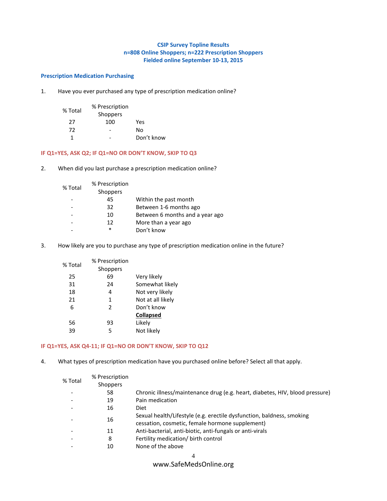### **CSIP Survey Topline Results n=808 Online Shoppers; n=222 Prescription Shoppers Fielded online September 10-13, 2015**

### **Prescription Medication Purchasing**

1. Have you ever purchased any type of prescription medication online?

| % Total | % Prescription |            |
|---------|----------------|------------|
|         | Shoppers       |            |
| 27      | 100            | Yes        |
| 72      |                | No         |
| 1       |                | Don't know |

### **IF Q1=YES, ASK Q2; IF Q1=NO OR DON'T KNOW, SKIP TO Q3**

2. When did you last purchase a prescription medication online?

| % Total | % Prescription<br>Shoppers |                                 |
|---------|----------------------------|---------------------------------|
|         | 45                         | Within the past month           |
|         | 32                         | Between 1-6 months ago          |
|         | 10                         | Between 6 months and a year ago |
|         | 12                         | More than a year ago            |
|         | *                          | Don't know                      |
|         |                            |                                 |

3. How likely are you to purchase any type of prescription medication online in the future?

| % Total | % Prescription |                   |
|---------|----------------|-------------------|
|         | Shoppers       |                   |
| 25      | 69             | Very likely       |
| 31      | 24             | Somewhat likely   |
| 18      | 4              | Not very likely   |
| 21      | 1              | Not at all likely |
| 6       | $\mathcal{P}$  | Don't know        |
|         |                | <b>Collapsed</b>  |
| 56      | 93             | Likely            |
| 39      | 5              | Not likely        |

#### **IF Q1=YES, ASK Q4-11; IF Q1=NO OR DON'T KNOW, SKIP TO Q12**

4. What types of prescription medication have you purchased online before? Select all that apply.

| % Total                      | % Prescription  |                                                                                                                          |
|------------------------------|-----------------|--------------------------------------------------------------------------------------------------------------------------|
|                              | <b>Shoppers</b> |                                                                                                                          |
|                              | 58              | Chronic illness/maintenance drug (e.g. heart, diabetes, HIV, blood pressure)                                             |
|                              | 19              | Pain medication                                                                                                          |
|                              | 16              | Diet                                                                                                                     |
|                              | 16              | Sexual health/Lifestyle (e.g. erectile dysfunction, baldness, smoking<br>cessation, cosmetic, female hormone supplement) |
| $\qquad \qquad \blacksquare$ | 11              | Anti-bacterial, anti-biotic, anti-fungals or anti-virals                                                                 |
|                              | 8               | Fertility medication/ birth control                                                                                      |
|                              | 10              | None of the above                                                                                                        |
|                              |                 |                                                                                                                          |

## www.SafeMedsOnline.org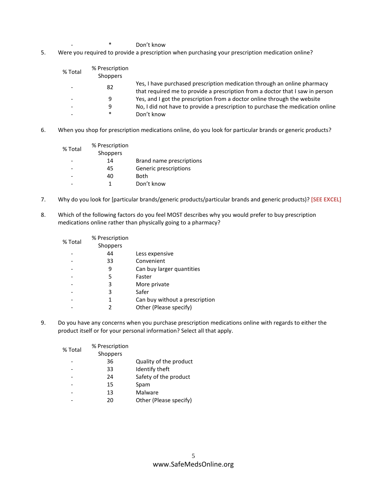- \* Don't know
- 5. Were you required to provide a prescription when purchasing your prescription medication online?

| % Total                  | % Prescription<br><b>Shoppers</b> |                                                                                                                                                           |
|--------------------------|-----------------------------------|-----------------------------------------------------------------------------------------------------------------------------------------------------------|
| -                        | 82                                | Yes, I have purchased prescription medication through an online pharmacy<br>that required me to provide a prescription from a doctor that I saw in person |
| $\overline{\phantom{0}}$ | 9                                 | Yes, and I got the prescription from a doctor online through the website                                                                                  |
| $\overline{\phantom{0}}$ | q                                 | No, I did not have to provide a prescription to purchase the medication online                                                                            |
| -                        | $\ast$                            | Don't know                                                                                                                                                |
|                          |                                   |                                                                                                                                                           |

6. When you shop for prescription medications online, do you look for particular brands or generic products?

| % Total | % Prescription |                          |
|---------|----------------|--------------------------|
|         | Shoppers       |                          |
|         | 14             | Brand name prescriptions |
|         | 45             | Generic prescriptions    |
|         | 40             | Both                     |
|         |                | Don't know               |

- 7. Why do you look for [particular brands/generic products/particular brands and generic products)? **[SEE EXCEL]**
- 8. Which of the following factors do you feel MOST describes why you would prefer to buy prescription medications online rather than physically going to a pharmacy?

| % Total | % Prescription  |                                |
|---------|-----------------|--------------------------------|
|         | <b>Shoppers</b> |                                |
|         | 44              | Less expensive                 |
|         | 33              | Convenient                     |
|         | 9               | Can buy larger quantities      |
|         | 5               | Faster                         |
|         | 3               | More private                   |
|         | 3               | Safer                          |
|         | 1               | Can buy without a prescription |
|         | 2               | Other (Please specify)         |
|         |                 |                                |

9. Do you have any concerns when you purchase prescription medications online with regards to either the product itself or for your personal information? Select all that apply.

| % Total | % Prescription |                        |
|---------|----------------|------------------------|
|         | Shoppers       |                        |
|         | 36             | Quality of the product |
|         | 33             | Identify theft         |
|         | 24             | Safety of the product  |
|         | 15             | Spam                   |
|         | 13             | Malware                |
|         | 20             | Other (Please specify) |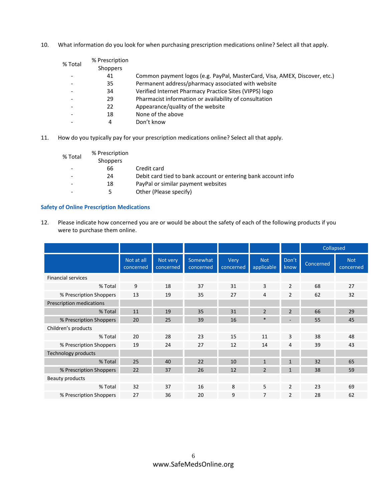10. What information do you look for when purchasing prescription medications online? Select all that apply.

| % Total                  | % Prescription  |                                                                            |
|--------------------------|-----------------|----------------------------------------------------------------------------|
|                          | <b>Shoppers</b> |                                                                            |
|                          | 41              | Common payment logos (e.g. PayPal, MasterCard, Visa, AMEX, Discover, etc.) |
|                          | 35              | Permanent address/pharmacy associated with website                         |
|                          | 34              | Verified Internet Pharmacy Practice Sites (VIPPS) logo                     |
| $\overline{\phantom{0}}$ | 29              | Pharmacist information or availability of consultation                     |
|                          | 22              | Appearance/quality of the website                                          |
|                          | 18              | None of the above                                                          |
|                          | 4               | Don't know                                                                 |
|                          |                 |                                                                            |

11. How do you typically pay for your prescription medications online? Select all that apply.

| % Total                      | % Prescription  |                                                               |
|------------------------------|-----------------|---------------------------------------------------------------|
|                              | <b>Shoppers</b> |                                                               |
| $\qquad \qquad \blacksquare$ | 66              | Credit card                                                   |
|                              | 24              | Debit card tied to bank account or entering bank account info |
|                              | 18              | PayPal or similar payment websites                            |
|                              |                 | Other (Please specify)                                        |

### **Safety of Online Prescription Medications**

12. Please indicate how concerned you are or would be about the safety of each of the following products if you were to purchase them online.

|                            |                         |                       |                       |                   |                          |                | Collapsed |                         |
|----------------------------|-------------------------|-----------------------|-----------------------|-------------------|--------------------------|----------------|-----------|-------------------------|
|                            | Not at all<br>concerned | Not very<br>concerned | Somewhat<br>concerned | Very<br>concerned | <b>Not</b><br>applicable | Don't<br>know  | Concerned | <b>Not</b><br>concerned |
| <b>Financial services</b>  |                         |                       |                       |                   |                          |                |           |                         |
| % Total                    | 9                       | 18                    | 37                    | 31                | 3                        | $\overline{2}$ | 68        | 27                      |
| % Prescription Shoppers    | 13                      | 19                    | 35                    | 27                | 4                        | $\overline{2}$ | 62        | 32                      |
| Prescription medications   |                         |                       |                       |                   |                          |                |           |                         |
| % Total                    | 11                      | 19                    | 35                    | 31                | $\overline{2}$           | $\overline{2}$ | 66        | 29                      |
| % Prescription Shoppers    | 20                      | 25                    | 39                    | 16                | $\ast$                   |                | 55        | 45                      |
| Children's products        |                         |                       |                       |                   |                          |                |           |                         |
| % Total                    | 20                      | 28                    | 23                    | 15                | 11                       | 3              | 38        | 48                      |
| % Prescription Shoppers    | 19                      | 24                    | 27                    | 12                | 14                       | 4              | 39        | 43                      |
| <b>Technology products</b> |                         |                       |                       |                   |                          |                |           |                         |
| % Total                    | 25                      | 40                    | 22                    | 10                | $\mathbf{1}$             | $\mathbf{1}$   | 32        | 65                      |
| % Prescription Shoppers    | 22                      | 37                    | 26                    | 12                | $\overline{2}$           | $\mathbf{1}$   | 38        | 59                      |
| Beauty products            |                         |                       |                       |                   |                          |                |           |                         |
| % Total                    | 32                      | 37                    | 16                    | 8                 | 5                        | $\overline{2}$ | 23        | 69                      |
| % Prescription Shoppers    | 27                      | 36                    | 20                    | 9                 | 7                        | 2              | 28        | 62                      |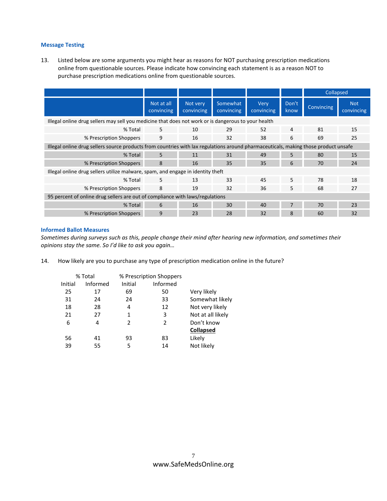### **Message Testing**

13. Listed below are some arguments you might hear as reasons for NOT purchasing prescription medications online from questionable sources. Please indicate how convincing each statement is as a reason NOT to purchase prescription medications online from questionable sources.

|                                                                                                                                     |                          |                        |                        |                    |                | <b>Collapsed</b>  |                          |
|-------------------------------------------------------------------------------------------------------------------------------------|--------------------------|------------------------|------------------------|--------------------|----------------|-------------------|--------------------------|
|                                                                                                                                     | Not at all<br>convincing | Not very<br>convincing | Somewhat<br>convincing | Very<br>convincing | Don't<br>know  | <b>Convincing</b> | <b>Not</b><br>convincing |
| Illegal online drug sellers may sell you medicine that does not work or is dangerous to your health                                 |                          |                        |                        |                    |                |                   |                          |
| % Total                                                                                                                             | 5                        | 10                     | 29                     | 52                 | $\overline{4}$ | 81                | 15                       |
| % Prescription Shoppers                                                                                                             | 9                        | 16                     | 32                     | 38                 | 6              | 69                | 25                       |
| Illegal online drug sellers source products from countries with lax regulations around pharmaceuticals, making those product unsafe |                          |                        |                        |                    |                |                   |                          |
| % Total                                                                                                                             | 5                        | 11                     | 31                     | 49                 | 5              | 80                | 15                       |
| % Prescription Shoppers                                                                                                             | 8                        | 16                     | 35                     | 35                 | 6              | 70                | 24                       |
| Illegal online drug sellers utilize malware, spam, and engage in identity theft                                                     |                          |                        |                        |                    |                |                   |                          |
| % Total                                                                                                                             | 5.                       | 13                     | 33                     | 45                 | 5              | 78                | 18                       |
| % Prescription Shoppers                                                                                                             | 8                        | 19                     | 32                     | 36                 | 5.             | 68                | 27                       |
| 95 percent of online drug sellers are out of compliance with laws/regulations                                                       |                          |                        |                        |                    |                |                   |                          |
| % Total                                                                                                                             | 6                        | 16                     | 30                     | 40                 |                | 70                | 23                       |
| % Prescription Shoppers                                                                                                             | 9                        | 23                     | 28                     | 32                 | 8              | 60                | 32                       |

### **Informed Ballot Measures**

*Sometimes during surveys such as this, people change their mind after hearing new information, and sometimes their opinions stay the same. So I'd like to ask you again…*

14. How likely are you to purchase any type of prescription medication online in the future?

| % Total |          | % Prescription Shoppers |                 |                   |
|---------|----------|-------------------------|-----------------|-------------------|
| Initial | Informed | Initial                 | <b>Informed</b> |                   |
| 25      | 17       | 69                      | 50              | Very likely       |
| 31      | 24       | 24                      | 33              | Somewhat likely   |
| 18      | 28       | 4                       | 12              | Not very likely   |
| 21      | 27       | 1                       | 3               | Not at all likely |
| 6       | 4        | $\mathcal{P}$           | 2               | Don't know        |
|         |          |                         |                 | <b>Collapsed</b>  |
| 56      | 41       | 93                      | 83              | Likely            |
| 39      | 55       | 5                       | 14              | Not likely        |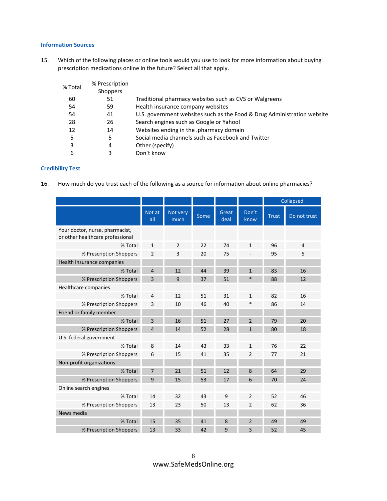### **Information Sources**

15. Which of the following places or online tools would you use to look for more information about buying prescription medications online in the future? Select all that apply.

| % Total | % Prescription  |                                                                         |
|---------|-----------------|-------------------------------------------------------------------------|
|         | <b>Shoppers</b> |                                                                         |
| 60      | 51              | Traditional pharmacy websites such as CVS or Walgreens                  |
| 54      | 59              | Health insurance company websites                                       |
| 54      | 41              | U.S. government websites such as the Food & Drug Administration website |
| 28      | 26              | Search engines such as Google or Yahoo!                                 |
| 12      | 14              | Websites ending in the .pharmacy domain                                 |
| 5       | 5               | Social media channels such as Facebook and Twitter                      |
| 3       | 4               | Other (specify)                                                         |
| 6       | 3               | Don't know                                                              |
|         |                 |                                                                         |

### **Credibility Test**

16. How much do you trust each of the following as a source for information about online pharmacies?

|                                                                     |                |                  |      |               |                | Collapsed |                |
|---------------------------------------------------------------------|----------------|------------------|------|---------------|----------------|-----------|----------------|
|                                                                     | Not at<br>all  | Not very<br>much | Some | Great<br>deal | Don't<br>know  | Trust     | Do not trust   |
| Your doctor, nurse, pharmacist,<br>or other healthcare professional |                |                  |      |               |                |           |                |
| % Total                                                             | $\mathbf{1}$   | $\overline{2}$   | 22   | 74            | $\mathbf{1}$   | 96        | $\overline{4}$ |
| % Prescription Shoppers                                             | $\overline{2}$ | 3                | 20   | 75            |                | 95        | 5              |
| Health insurance companies                                          |                |                  |      |               |                |           |                |
| % Total                                                             | $\overline{4}$ | 12               | 44   | 39            | $\mathbf{1}$   | 83        | 16             |
| % Prescription Shoppers                                             | 3              | 9                | 37   | 51            | $\ast$         | 88        | 12             |
| Healthcare companies                                                |                |                  |      |               |                |           |                |
| % Total                                                             | 4              | 12               | 51   | 31            | $\mathbf{1}$   | 82        | 16             |
| % Prescription Shoppers                                             | 3              | 10               | 46   | 40            | *              | 86        | 14             |
| Friend or family member                                             |                |                  |      |               |                |           |                |
| % Total                                                             | $\overline{3}$ | 16               | 51   | 27            | $\mathfrak{p}$ | 79        | 20             |
| % Prescription Shoppers                                             | $\overline{4}$ | 14               | 52   | 28            | $\mathbf{1}$   | 80        | 18             |
| U.S. federal government                                             |                |                  |      |               |                |           |                |
| % Total                                                             | 8              | 14               | 43   | 33            | $\mathbf{1}$   | 76        | 22             |
| % Prescription Shoppers                                             | 6              | 15               | 41   | 35            | $\overline{2}$ | 77        | 21             |
| Non-profit organizations                                            |                |                  |      |               |                |           |                |
| % Total                                                             | $\overline{7}$ | 21               | 51   | 12            | 8              | 64        | 29             |
| % Prescription Shoppers                                             | 9              | 15               | 53   | 17            | 6              | 70        | 24             |
| Online search engines                                               |                |                  |      |               |                |           |                |
| % Total                                                             | 14             | 32               | 43   | 9             | $\overline{2}$ | 52        | 46             |
| % Prescription Shoppers                                             | 13             | 23               | 50   | 13            | $\overline{2}$ | 62        | 36             |
| News media                                                          |                |                  |      |               |                |           |                |
| % Total                                                             | 15             | 35               | 41   | 8             | $\overline{2}$ | 49        | 49             |
| % Prescription Shoppers                                             | 13             | 33               | 42   | 9             | 3              | 52        | 45             |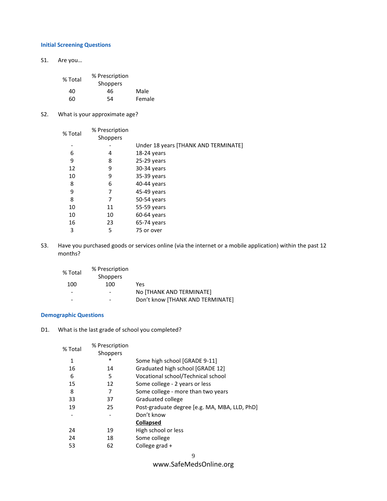### **Initial Screening Questions**

S1. Are you…

| % Total | % Prescription  |        |
|---------|-----------------|--------|
|         | <b>Shoppers</b> |        |
| 40      | 46              | Male   |
| 60      | 54              | Female |

S2. What is your approximate age?

| % Total | % Prescription<br>Shoppers |                                      |
|---------|----------------------------|--------------------------------------|
|         |                            | Under 18 years [THANK AND TERMINATE] |
| 6       | 4                          | 18-24 years                          |
| 9       | 8                          | $25-29$ years                        |
| 12      | 9                          | 30-34 years                          |
| 10      | 9                          | 35-39 years                          |
| 8       | 6                          | 40-44 years                          |
| 9       | 7                          | 45-49 years                          |
| 8       | 7                          | 50-54 years                          |
| 10      | 11                         | 55-59 years                          |
| 10      | 10                         | 60-64 years                          |
| 16      | 23                         | $65-74$ years                        |
| 3       | 5                          | 75 or over                           |

S3. Have you purchased goods or services online (via the internet or a mobile application) within the past 12 months?

| % Total | % Prescription  |                                  |
|---------|-----------------|----------------------------------|
|         | <b>Shoppers</b> |                                  |
| 100     | 100             | Yes                              |
|         |                 | NO [THANK AND TERMINATE]         |
|         | ٠               | Don't know [THANK AND TERMINATE] |

### **Demographic Questions**

D1. What is the last grade of school you completed?

| % Prescription |                                               |
|----------------|-----------------------------------------------|
| Shoppers       |                                               |
| ∗              | Some high school [GRADE 9-11]                 |
| 14             | Graduated high school [GRADE 12]              |
| 5              | Vocational school/Technical school            |
| 12             | Some college - 2 years or less                |
| 7              | Some college - more than two years            |
| 37             | Graduated college                             |
| 25             | Post-graduate degree [e.g. MA, MBA, LLD, PhD] |
|                | Don't know                                    |
|                | <b>Collapsed</b>                              |
| 19             | High school or less                           |
| 18             | Some college                                  |
| 62             | College grad +                                |
|                | 9                                             |
|                |                                               |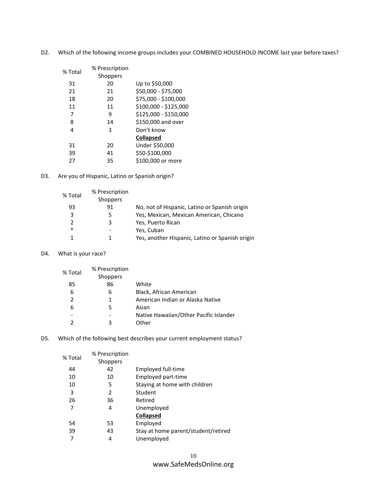| % Total | % Prescription |                       |
|---------|----------------|-----------------------|
|         | Shoppers       |                       |
| 31      | 20             | Up to \$50,000        |
| 21      | 21             | \$50,000 - \$75,000   |
| 18      | 20             | \$75,000 - \$100,000  |
| 11      | 11             | \$100,000 - \$125,000 |
| 7       | 9              | \$125,000 - \$150,000 |
| 8       | 14             | \$150,000 and over    |
| 4       | 3              | Don't know            |
|         |                | <b>Collapsed</b>      |
| 31      | 20             | Under \$50,000        |
| 39      | 41             | \$50-\$100,000        |
| 27      | 35             | \$100,000 or more     |

D2. Which of the following income groups includes your COMBINED HOUSEHOLD INCOME last year before taxes?

D3. Are you of Hispanic, Latino or Spanish origin?

| % Total       | % Prescription<br><b>Shoppers</b> |                                                 |
|---------------|-----------------------------------|-------------------------------------------------|
| 93            | 91                                | No, not of Hispanic, Latino or Spanish origin   |
| 3             | 5                                 | Yes, Mexican, Mexican American, Chicano         |
| $\mathcal{P}$ | 3                                 | Yes, Puerto Rican                               |
| $\ast$        |                                   | Yes, Cuban                                      |
|               |                                   | Yes, another Hispanic, Latino or Spanish origin |

D4. What is your race?

| % Total | % Prescription<br><b>Shoppers</b> |                                        |
|---------|-----------------------------------|----------------------------------------|
| 85      | 86                                | White                                  |
| 6       | 6                                 | Black, African American                |
| 2       | 1                                 | American Indian or Alaska Native       |
| 6       | 5                                 | Asian                                  |
|         |                                   | Native Hawaiian/Other Pacific Islander |
|         | 3                                 | Other                                  |

D5. Which of the following best describes your current employment status?

| % Total | % Prescription  |                                     |
|---------|-----------------|-------------------------------------|
|         | <b>Shoppers</b> |                                     |
| 44      | 42              | Employed full-time                  |
| 10      | 10              | Employed part-time                  |
| 10      | 5               | Staying at home with children       |
| 3       | 2               | Student                             |
| 26      | 36              | Retired                             |
| 7       | 4               | Unemployed                          |
|         |                 | <b>Collapsed</b>                    |
| 54      | 53              | Employed                            |
| 39      | 43              | Stay at home parent/student/retired |
| 7       | 4               | Unemployed                          |
|         |                 |                                     |